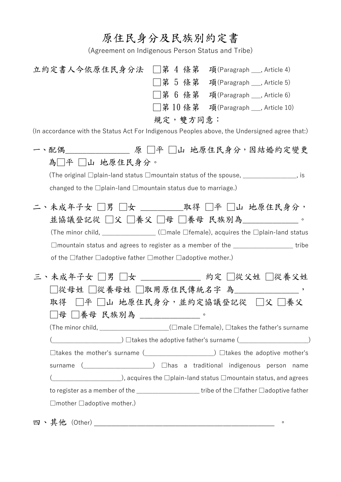## 原住民身分及民族別約定書

(Agreement on Indigenous Person Status and Tribe)

| 立約定書人今依原住民身分法 □第 4 條第                                                                                                                                                                                                                                                                                                                                                                                                                                                                                                                     |           |  | 項(Paragraph ___, Article 4)                                                         |  |
|-------------------------------------------------------------------------------------------------------------------------------------------------------------------------------------------------------------------------------------------------------------------------------------------------------------------------------------------------------------------------------------------------------------------------------------------------------------------------------------------------------------------------------------------|-----------|--|-------------------------------------------------------------------------------------|--|
|                                                                                                                                                                                                                                                                                                                                                                                                                                                                                                                                           | □第 5 條第   |  | 項(Paragraph ___, Article 5)                                                         |  |
|                                                                                                                                                                                                                                                                                                                                                                                                                                                                                                                                           |           |  | □第6條第 項(Paragraph __, Article 6)                                                    |  |
|                                                                                                                                                                                                                                                                                                                                                                                                                                                                                                                                           |           |  | □第10條第 項(Paragraph_, Article 10)                                                    |  |
|                                                                                                                                                                                                                                                                                                                                                                                                                                                                                                                                           | 規定, 雙方同意: |  |                                                                                     |  |
| (In accordance with the Status Act For Indigenous Peoples above, the Undersigned agree that:)                                                                                                                                                                                                                                                                                                                                                                                                                                             |           |  |                                                                                     |  |
| 一、配偶________________ 原 □平 □山 地原住民身分,因結婚約定變更                                                                                                                                                                                                                                                                                                                                                                                                                                                                                               |           |  |                                                                                     |  |
| 為□平 □山 地原住民身分。                                                                                                                                                                                                                                                                                                                                                                                                                                                                                                                            |           |  |                                                                                     |  |
|                                                                                                                                                                                                                                                                                                                                                                                                                                                                                                                                           |           |  | (The original $\Box$ plain-land status $\Box$ mountain status of the spouse, $\Box$ |  |
| changed to the □plain-land □mountain status due to marriage.)                                                                                                                                                                                                                                                                                                                                                                                                                                                                             |           |  |                                                                                     |  |
|                                                                                                                                                                                                                                                                                                                                                                                                                                                                                                                                           |           |  |                                                                                     |  |
| 二、未成年子女 □男 □女 _____取得 □平 □山 地原住民身分,                                                                                                                                                                                                                                                                                                                                                                                                                                                                                                       |           |  |                                                                                     |  |
|                                                                                                                                                                                                                                                                                                                                                                                                                                                                                                                                           |           |  | 並協議登記從 □父 □養父 □母 □養母 民族別為_______。                                                   |  |
|                                                                                                                                                                                                                                                                                                                                                                                                                                                                                                                                           |           |  | (The minor child, _______________(□male □female), acquires the □plain-land status   |  |
|                                                                                                                                                                                                                                                                                                                                                                                                                                                                                                                                           |           |  | □mountain status and agrees to register as a member of the ___________________tribe |  |
| of the $\Box$ father $\Box$ adoptive father $\Box$ mother $\Box$ adoptive mother.)                                                                                                                                                                                                                                                                                                                                                                                                                                                        |           |  |                                                                                     |  |
| 三、未成年子女 □男 □女 _______ 約定 □從父姓 □從養父姓                                                                                                                                                                                                                                                                                                                                                                                                                                                                                                       |           |  |                                                                                     |  |
|                                                                                                                                                                                                                                                                                                                                                                                                                                                                                                                                           |           |  | □從母姓 □從養母姓 □取用原住民傳統名字 為__________,                                                  |  |
| 取得                                                                                                                                                                                                                                                                                                                                                                                                                                                                                                                                        |           |  | □平 □山 地原住民身分,並約定協議登記從 □父 □養父                                                        |  |
| 母 □養母 民族別為 _________。                                                                                                                                                                                                                                                                                                                                                                                                                                                                                                                     |           |  |                                                                                     |  |
|                                                                                                                                                                                                                                                                                                                                                                                                                                                                                                                                           |           |  | (The minor child, __________________(□male □female), □takes the father's surname    |  |
|                                                                                                                                                                                                                                                                                                                                                                                                                                                                                                                                           |           |  |                                                                                     |  |
|                                                                                                                                                                                                                                                                                                                                                                                                                                                                                                                                           |           |  |                                                                                     |  |
|                                                                                                                                                                                                                                                                                                                                                                                                                                                                                                                                           |           |  | surname ( <b>was construent ( ndigenous</b> person name                             |  |
| $\hbox{\halign{$ \begin{minipage}{0.9\linewidth} \centering \centering \emph{0.00\linewidth} \centering \emph{0.00\linewidth} \centering \emph{0.00\linewidth} \centering \emph{0.00\linewidth} \centering \emph{0.00\linewidth} \centering \emph{0.00\linewidth} \centering \emph{0.00\linewidth} \centering \emph{0.00\linewidth} \centering \emph{0.00\linewidth} \centering \emph{0.00\linewidth} \centering \emph{0.00\linewidth} \centering \emph{0.00\linewidth} \centering \emph{0.00\linewidth} \centering \emph{0.00\linewidth} |           |  |                                                                                     |  |
| to register as a member of the $\_\_\_\_\_\_\_\_\_\_\_\_$ tribe of the $\_\$ iather $\_\$ adoptive father                                                                                                                                                                                                                                                                                                                                                                                                                                 |           |  |                                                                                     |  |
| $\Box$ mother $\Box$ adoptive mother.)                                                                                                                                                                                                                                                                                                                                                                                                                                                                                                    |           |  |                                                                                     |  |
|                                                                                                                                                                                                                                                                                                                                                                                                                                                                                                                                           |           |  |                                                                                     |  |

四、其他 (Other) \_\_\_\_\_\_\_\_\_\_\_\_\_\_\_\_\_\_\_\_\_\_\_\_\_\_\_\_\_\_\_\_\_\_\_\_\_\_\_\_\_\_ 。